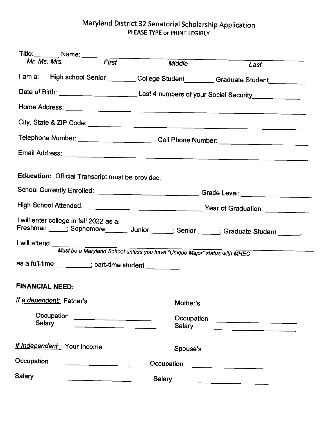## Maryland District 32 Senatorial Scholarship Application PLEASE TYPE or PRINT LEGIBLY

|                                                                                                                                  |                             | Title: Name: Name: Name: Name: Name: Name: Name: Name: Name: Name: Name: Name: Name: Name: Name: Name: Name: N<br>Name: Name: Name: Name: Name: Name: Name: Name: Name: Name: Name: Name: Name: Name: Name: Name: Name: Name: Nam |                      |                                                                                  |  |  |  |  |
|----------------------------------------------------------------------------------------------------------------------------------|-----------------------------|-----------------------------------------------------------------------------------------------------------------------------------------------------------------------------------------------------------------------------------|----------------------|----------------------------------------------------------------------------------|--|--|--|--|
|                                                                                                                                  |                             |                                                                                                                                                                                                                                   | Middle               | Last                                                                             |  |  |  |  |
|                                                                                                                                  |                             |                                                                                                                                                                                                                                   |                      | I am a: High school Senior_________College Student_______Graduate Student_______ |  |  |  |  |
| Date of Birth: ____________________________Last 4 numbers of your Social Security__________________                              |                             |                                                                                                                                                                                                                                   |                      |                                                                                  |  |  |  |  |
|                                                                                                                                  |                             |                                                                                                                                                                                                                                   |                      |                                                                                  |  |  |  |  |
|                                                                                                                                  |                             |                                                                                                                                                                                                                                   |                      |                                                                                  |  |  |  |  |
| Telephone Number: _______________________Cell Phone Number: ____________________                                                 |                             |                                                                                                                                                                                                                                   |                      |                                                                                  |  |  |  |  |
|                                                                                                                                  |                             |                                                                                                                                                                                                                                   |                      |                                                                                  |  |  |  |  |
|                                                                                                                                  |                             | Education: Official Transcript must be provided.                                                                                                                                                                                  |                      |                                                                                  |  |  |  |  |
| School Currently Enrolled: _____________________________Grade Level: ____________                                                |                             |                                                                                                                                                                                                                                   |                      |                                                                                  |  |  |  |  |
|                                                                                                                                  |                             |                                                                                                                                                                                                                                   |                      |                                                                                  |  |  |  |  |
| I will enter college in fall 2022 as a:<br>Freshman ____; Sophomore_____; Junior _____; Senior ____; Graduate Student _____;     |                             |                                                                                                                                                                                                                                   |                      |                                                                                  |  |  |  |  |
| I will attend                                                                                                                    |                             |                                                                                                                                                                                                                                   |                      |                                                                                  |  |  |  |  |
| Must be a Maryland School unless you have "Unique Major" status with MHEC<br>as a full-time________; part-time student ________. |                             |                                                                                                                                                                                                                                   |                      |                                                                                  |  |  |  |  |
|                                                                                                                                  | <b>FINANCIAL NEED:</b>      |                                                                                                                                                                                                                                   |                      |                                                                                  |  |  |  |  |
|                                                                                                                                  | If a dependent: Father's    |                                                                                                                                                                                                                                   | Mother's             |                                                                                  |  |  |  |  |
|                                                                                                                                  | Occupation<br>Salary        |                                                                                                                                                                                                                                   | Occupation<br>Salary |                                                                                  |  |  |  |  |
|                                                                                                                                  | If Independent: Your Income |                                                                                                                                                                                                                                   | Spouse's             |                                                                                  |  |  |  |  |
| Occupation<br>Occupation                                                                                                         |                             |                                                                                                                                                                                                                                   |                      |                                                                                  |  |  |  |  |
| Salary<br>Salary                                                                                                                 |                             |                                                                                                                                                                                                                                   |                      |                                                                                  |  |  |  |  |